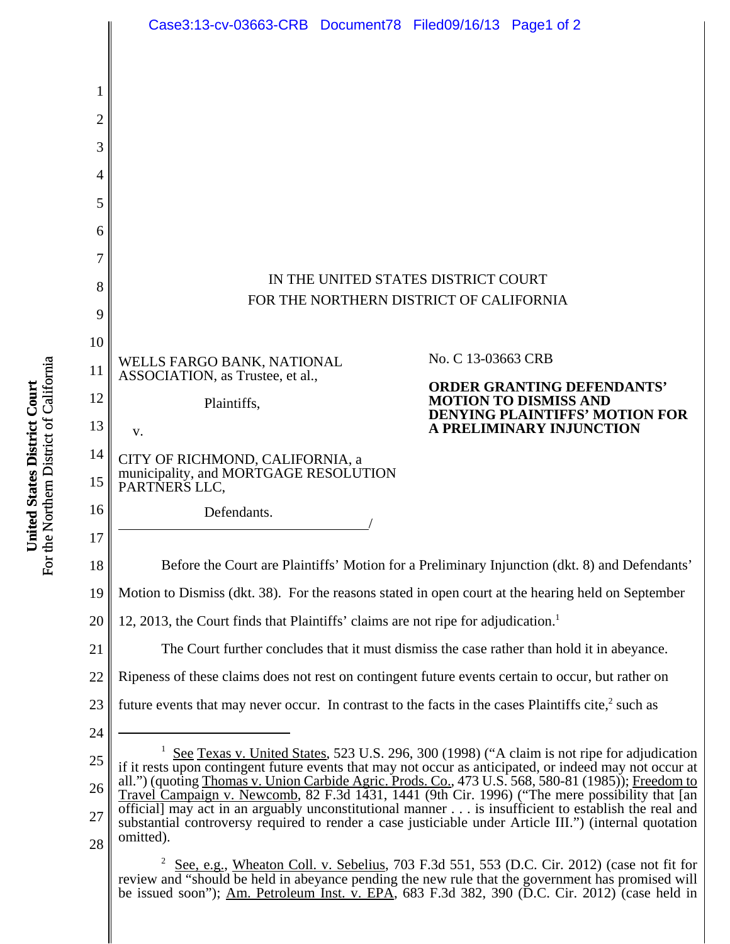